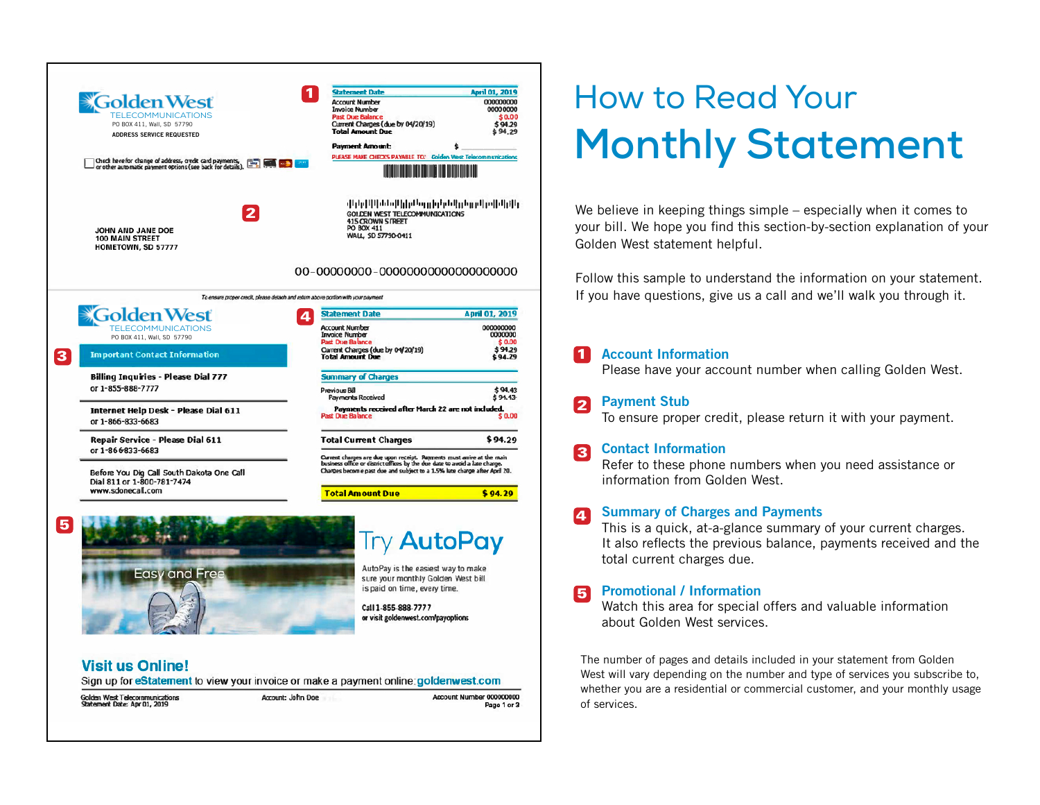

# **Visit us Online!**

Sign up for eStatement to view your invoice or make a payment online: goldenwest.com

Golden West Telecommunications Statement Date: Apr 01, 2019

Account: John Doe

Account Number 000000000 Page 1 or 3

# How to Read Your **Monthly Statement**

We believe in keeping things simple – especially when it comes to your bill. We hope you find this section-by-section explanation of your Golden West statement helpful.

Follow this sample to understand the information on your statement. If you have questions, give us a call and we'll walk you through it.

# Account Information

Please have your account number when calling Golden West.

# **Payment Stub**

To ensure proper credit, please return it with your payment.

# **R** Contact Information

Refer to these phone numbers when you need assistance or information from Golden West.

#### Summary of Charges and Payments Ι4.

This is a quick, at-a-glance summary of your current charges. It also reflects the previous balance, payments received and the total current charges due.

# **R** Promotional / Information

Watch this area for special offers and valuable information about Golden West services.

1 Accouver<br>
Please<br>
2 Payme<br>
To ens<br>
3 Conta<br>
Refer<br>
inform<br>
4 Summ<br>
This is<br>
It also<br>
total c<br>
5 Prome<br>
Watch<br>
about<br>
The numbe<br>
West will value whether you<br>
of services. The number of pages and details included in your statement from Golden West will vary depending on the number and type of services you subscribe to, whether you are a residential or commercial customer, and your monthly usage of services.